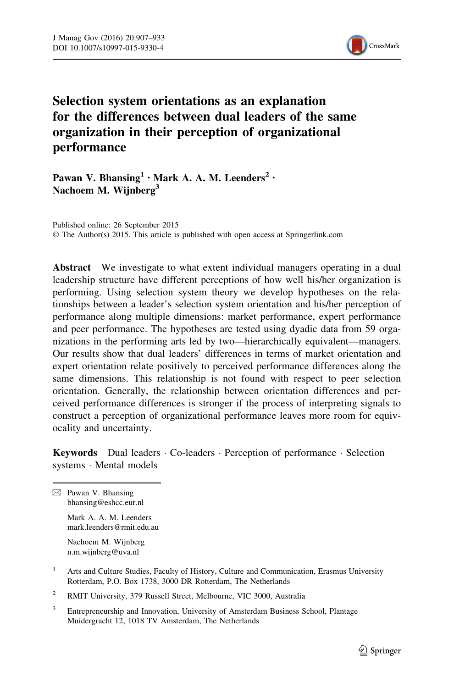

# Selection system orientations as an explanation for the differences between dual leaders of the same organization in their perception of organizational performance

## Pawan V. Bhansing<sup>1</sup> · Mark A. A. M. Leenders<sup>2</sup> · Nachoem M. Wijnberg<sup>3</sup>

Published online: 26 September 2015 © The Author(s) 2015. This article is published with open access at Springerlink.com

Abstract We investigate to what extent individual managers operating in a dual leadership structure have different perceptions of how well his/her organization is performing. Using selection system theory we develop hypotheses on the relationships between a leader's selection system orientation and his/her perception of performance along multiple dimensions: market performance, expert performance and peer performance. The hypotheses are tested using dyadic data from 59 organizations in the performing arts led by two—hierarchically equivalent—managers. Our results show that dual leaders' differences in terms of market orientation and expert orientation relate positively to perceived performance differences along the same dimensions. This relationship is not found with respect to peer selection orientation. Generally, the relationship between orientation differences and perceived performance differences is stronger if the process of interpreting signals to construct a perception of organizational performance leaves more room for equivocality and uncertainty.

Keywords Dual leaders · Co-leaders · Perception of performance · Selection systems - Mental models

 $\boxtimes$  Pawan V. Bhansing bhansing@eshcc.eur.nl

> Mark A. A. M. Leenders mark.leenders@rmit.edu.au

Nachoem M. Wijnberg n.m.wijnberg@uva.nl

<sup>1</sup> Arts and Culture Studies, Faculty of History, Culture and Communication, Erasmus University Rotterdam, P.O. Box 1738, 3000 DR Rotterdam, The Netherlands

<sup>2</sup> RMIT University, 379 Russell Street, Melbourne, VIC 3000, Australia

<sup>3</sup> Entrepreneurship and Innovation, University of Amsterdam Business School, Plantage Muidergracht 12, 1018 TV Amsterdam, The Netherlands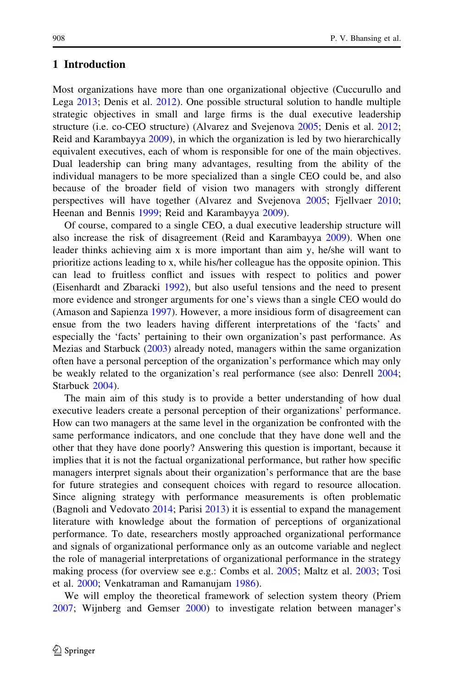## 1 Introduction

Most organizations have more than one organizational objective (Cuccurullo and Lega [2013](#page-23-0); Denis et al. [2012](#page-23-0)). One possible structural solution to handle multiple strategic objectives in small and large firms is the dual executive leadership structure (i.e. co-CEO structure) (Alvarez and Svejenova [2005](#page-22-0); Denis et al. [2012;](#page-23-0) Reid and Karambayya [2009\)](#page-24-0), in which the organization is led by two hierarchically equivalent executives, each of whom is responsible for one of the main objectives. Dual leadership can bring many advantages, resulting from the ability of the individual managers to be more specialized than a single CEO could be, and also because of the broader field of vision two managers with strongly different perspectives will have together (Alvarez and Svejenova [2005](#page-22-0); Fjellvaer [2010;](#page-23-0) Heenan and Bennis [1999;](#page-24-0) Reid and Karambayya [2009](#page-24-0)).

Of course, compared to a single CEO, a dual executive leadership structure will also increase the risk of disagreement (Reid and Karambayya [2009\)](#page-24-0). When one leader thinks achieving aim x is more important than aim y, he/she will want to prioritize actions leading to x, while his/her colleague has the opposite opinion. This can lead to fruitless conflict and issues with respect to politics and power (Eisenhardt and Zbaracki [1992\)](#page-23-0), but also useful tensions and the need to present more evidence and stronger arguments for one's views than a single CEO would do (Amason and Sapienza [1997](#page-22-0)). However, a more insidious form of disagreement can ensue from the two leaders having different interpretations of the 'facts' and especially the 'facts' pertaining to their own organization's past performance. As Mezias and Starbuck [\(2003](#page-24-0)) already noted, managers within the same organization often have a personal perception of the organization's performance which may only be weakly related to the organization's real performance (see also: Denrell [2004;](#page-23-0) Starbuck [2004\)](#page-25-0).

The main aim of this study is to provide a better understanding of how dual executive leaders create a personal perception of their organizations' performance. How can two managers at the same level in the organization be confronted with the same performance indicators, and one conclude that they have done well and the other that they have done poorly? Answering this question is important, because it implies that it is not the factual organizational performance, but rather how specific managers interpret signals about their organization's performance that are the base for future strategies and consequent choices with regard to resource allocation. Since aligning strategy with performance measurements is often problematic (Bagnoli and Vedovato [2014;](#page-22-0) Parisi [2013\)](#page-24-0) it is essential to expand the management literature with knowledge about the formation of perceptions of organizational performance. To date, researchers mostly approached organizational performance and signals of organizational performance only as an outcome variable and neglect the role of managerial interpretations of organizational performance in the strategy making process (for overview see e.g.: Combs et al. [2005](#page-23-0); Maltz et al. [2003](#page-24-0); Tosi et al. [2000;](#page-25-0) Venkatraman and Ramanujam [1986\)](#page-25-0).

We will employ the theoretical framework of selection system theory (Priem [2007;](#page-24-0) Wijnberg and Gemser [2000\)](#page-25-0) to investigate relation between manager's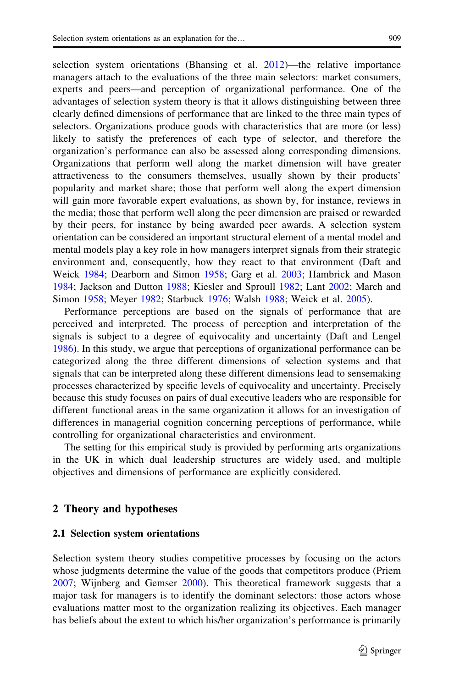selection system orientations (Bhansing et al. [2012\)](#page-23-0)—the relative importance managers attach to the evaluations of the three main selectors: market consumers, experts and peers—and perception of organizational performance. One of the advantages of selection system theory is that it allows distinguishing between three clearly defined dimensions of performance that are linked to the three main types of selectors. Organizations produce goods with characteristics that are more (or less) likely to satisfy the preferences of each type of selector, and therefore the organization's performance can also be assessed along corresponding dimensions. Organizations that perform well along the market dimension will have greater attractiveness to the consumers themselves, usually shown by their products' popularity and market share; those that perform well along the expert dimension will gain more favorable expert evaluations, as shown by, for instance, reviews in the media; those that perform well along the peer dimension are praised or rewarded by their peers, for instance by being awarded peer awards. A selection system orientation can be considered an important structural element of a mental model and mental models play a key role in how managers interpret signals from their strategic environment and, consequently, how they react to that environment (Daft and Weick [1984](#page-23-0); Dearborn and Simon [1958](#page-23-0); Garg et al. [2003](#page-23-0); Hambrick and Mason [1984;](#page-24-0) Jackson and Dutton [1988](#page-24-0); Kiesler and Sproull [1982](#page-24-0); Lant [2002](#page-24-0); March and Simon [1958](#page-24-0); Meyer [1982;](#page-24-0) Starbuck [1976;](#page-25-0) Walsh [1988;](#page-25-0) Weick et al. [2005](#page-25-0)).

Performance perceptions are based on the signals of performance that are perceived and interpreted. The process of perception and interpretation of the signals is subject to a degree of equivocality and uncertainty (Daft and Lengel [1986\)](#page-23-0). In this study, we argue that perceptions of organizational performance can be categorized along the three different dimensions of selection systems and that signals that can be interpreted along these different dimensions lead to sensemaking processes characterized by specific levels of equivocality and uncertainty. Precisely because this study focuses on pairs of dual executive leaders who are responsible for different functional areas in the same organization it allows for an investigation of differences in managerial cognition concerning perceptions of performance, while controlling for organizational characteristics and environment.

The setting for this empirical study is provided by performing arts organizations in the UK in which dual leadership structures are widely used, and multiple objectives and dimensions of performance are explicitly considered.

#### 2 Theory and hypotheses

#### 2.1 Selection system orientations

Selection system theory studies competitive processes by focusing on the actors whose judgments determine the value of the goods that competitors produce (Priem [2007;](#page-24-0) Wijnberg and Gemser [2000](#page-25-0)). This theoretical framework suggests that a major task for managers is to identify the dominant selectors: those actors whose evaluations matter most to the organization realizing its objectives. Each manager has beliefs about the extent to which his/her organization's performance is primarily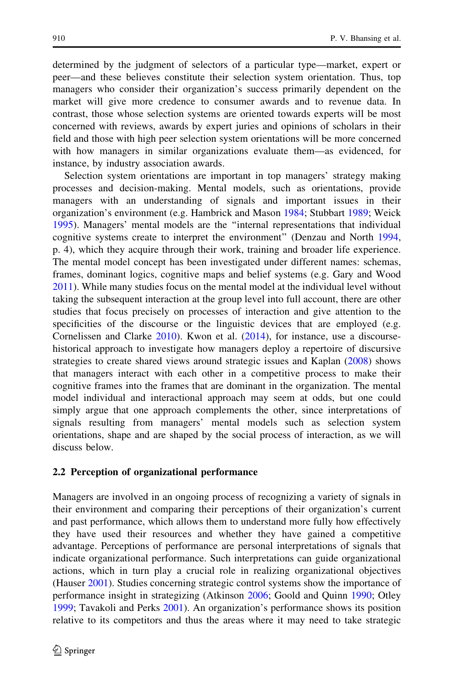determined by the judgment of selectors of a particular type—market, expert or peer—and these believes constitute their selection system orientation. Thus, top managers who consider their organization's success primarily dependent on the market will give more credence to consumer awards and to revenue data. In contrast, those whose selection systems are oriented towards experts will be most concerned with reviews, awards by expert juries and opinions of scholars in their field and those with high peer selection system orientations will be more concerned with how managers in similar organizations evaluate them—as evidenced, for instance, by industry association awards.

Selection system orientations are important in top managers' strategy making processes and decision-making. Mental models, such as orientations, provide managers with an understanding of signals and important issues in their organization's environment (e.g. Hambrick and Mason [1984;](#page-24-0) Stubbart [1989;](#page-25-0) Weick [1995\)](#page-25-0). Managers' mental models are the ''internal representations that individual cognitive systems create to interpret the environment'' (Denzau and North [1994,](#page-23-0) p. 4), which they acquire through their work, training and broader life experience. The mental model concept has been investigated under different names: schemas, frames, dominant logics, cognitive maps and belief systems (e.g. Gary and Wood [2011\)](#page-23-0). While many studies focus on the mental model at the individual level without taking the subsequent interaction at the group level into full account, there are other studies that focus precisely on processes of interaction and give attention to the specificities of the discourse or the linguistic devices that are employed (e.g. Cornelissen and Clarke [2010](#page-23-0)). Kwon et al. [\(2014](#page-24-0)), for instance, use a discoursehistorical approach to investigate how managers deploy a repertoire of discursive strategies to create shared views around strategic issues and Kaplan ([2008\)](#page-24-0) shows that managers interact with each other in a competitive process to make their cognitive frames into the frames that are dominant in the organization. The mental model individual and interactional approach may seem at odds, but one could simply argue that one approach complements the other, since interpretations of signals resulting from managers' mental models such as selection system orientations, shape and are shaped by the social process of interaction, as we will discuss below.

#### 2.2 Perception of organizational performance

Managers are involved in an ongoing process of recognizing a variety of signals in their environment and comparing their perceptions of their organization's current and past performance, which allows them to understand more fully how effectively they have used their resources and whether they have gained a competitive advantage. Perceptions of performance are personal interpretations of signals that indicate organizational performance. Such interpretations can guide organizational actions, which in turn play a crucial role in realizing organizational objectives (Hauser [2001](#page-24-0)). Studies concerning strategic control systems show the importance of performance insight in strategizing (Atkinson [2006;](#page-22-0) Goold and Quinn [1990](#page-24-0); Otley [1999;](#page-24-0) Tavakoli and Perks [2001\)](#page-25-0). An organization's performance shows its position relative to its competitors and thus the areas where it may need to take strategic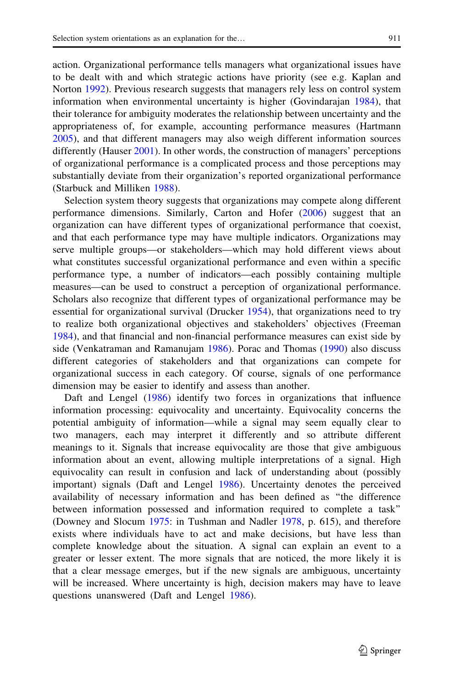action. Organizational performance tells managers what organizational issues have to be dealt with and which strategic actions have priority (see e.g. Kaplan and Norton [1992](#page-24-0)). Previous research suggests that managers rely less on control system information when environmental uncertainty is higher (Govindarajan [1984](#page-24-0)), that their tolerance for ambiguity moderates the relationship between uncertainty and the appropriateness of, for example, accounting performance measures (Hartmann [2005\)](#page-24-0), and that different managers may also weigh different information sources differently (Hauser [2001\)](#page-24-0). In other words, the construction of managers' perceptions of organizational performance is a complicated process and those perceptions may substantially deviate from their organization's reported organizational performance (Starbuck and Milliken [1988\)](#page-25-0).

Selection system theory suggests that organizations may compete along different performance dimensions. Similarly, Carton and Hofer ([2006\)](#page-23-0) suggest that an organization can have different types of organizational performance that coexist, and that each performance type may have multiple indicators. Organizations may serve multiple groups—or stakeholders—which may hold different views about what constitutes successful organizational performance and even within a specific performance type, a number of indicators—each possibly containing multiple measures—can be used to construct a perception of organizational performance. Scholars also recognize that different types of organizational performance may be essential for organizational survival (Drucker [1954](#page-23-0)), that organizations need to try to realize both organizational objectives and stakeholders' objectives (Freeman [1984\)](#page-23-0), and that financial and non-financial performance measures can exist side by side (Venkatraman and Ramanujam [1986\)](#page-25-0). Porac and Thomas [\(1990](#page-24-0)) also discuss different categories of stakeholders and that organizations can compete for organizational success in each category. Of course, signals of one performance dimension may be easier to identify and assess than another.

Daft and Lengel [\(1986](#page-23-0)) identify two forces in organizations that influence information processing: equivocality and uncertainty. Equivocality concerns the potential ambiguity of information—while a signal may seem equally clear to two managers, each may interpret it differently and so attribute different meanings to it. Signals that increase equivocality are those that give ambiguous information about an event, allowing multiple interpretations of a signal. High equivocality can result in confusion and lack of understanding about (possibly important) signals (Daft and Lengel [1986\)](#page-23-0). Uncertainty denotes the perceived availability of necessary information and has been defined as ''the difference between information possessed and information required to complete a task'' (Downey and Slocum [1975](#page-23-0): in Tushman and Nadler [1978](#page-25-0), p. 615), and therefore exists where individuals have to act and make decisions, but have less than complete knowledge about the situation. A signal can explain an event to a greater or lesser extent. The more signals that are noticed, the more likely it is that a clear message emerges, but if the new signals are ambiguous, uncertainty will be increased. Where uncertainty is high, decision makers may have to leave questions unanswered (Daft and Lengel [1986](#page-23-0)).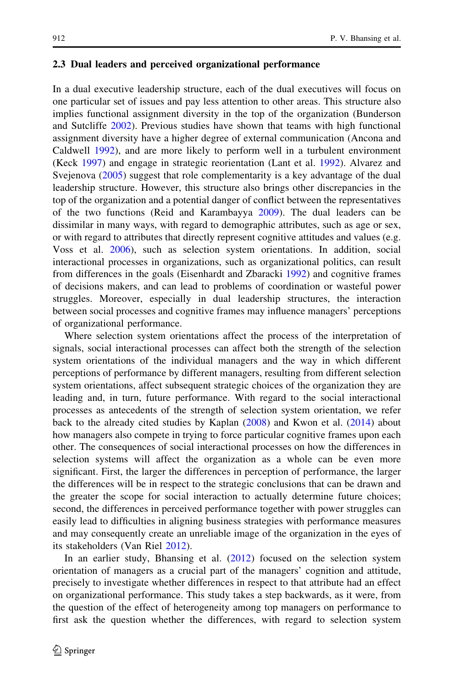#### <span id="page-5-0"></span>2.3 Dual leaders and perceived organizational performance

In a dual executive leadership structure, each of the dual executives will focus on one particular set of issues and pay less attention to other areas. This structure also implies functional assignment diversity in the top of the organization (Bunderson and Sutcliffe [2002](#page-23-0)). Previous studies have shown that teams with high functional assignment diversity have a higher degree of external communication (Ancona and Caldwell [1992](#page-22-0)), and are more likely to perform well in a turbulent environment (Keck [1997\)](#page-24-0) and engage in strategic reorientation (Lant et al. [1992](#page-24-0)). Alvarez and Svejenova [\(2005](#page-22-0)) suggest that role complementarity is a key advantage of the dual leadership structure. However, this structure also brings other discrepancies in the top of the organization and a potential danger of conflict between the representatives of the two functions (Reid and Karambayya [2009](#page-24-0)). The dual leaders can be dissimilar in many ways, with regard to demographic attributes, such as age or sex, or with regard to attributes that directly represent cognitive attitudes and values (e.g. Voss et al. [2006](#page-25-0)), such as selection system orientations. In addition, social interactional processes in organizations, such as organizational politics, can result from differences in the goals (Eisenhardt and Zbaracki [1992\)](#page-23-0) and cognitive frames of decisions makers, and can lead to problems of coordination or wasteful power struggles. Moreover, especially in dual leadership structures, the interaction between social processes and cognitive frames may influence managers' perceptions of organizational performance.

Where selection system orientations affect the process of the interpretation of signals, social interactional processes can affect both the strength of the selection system orientations of the individual managers and the way in which different perceptions of performance by different managers, resulting from different selection system orientations, affect subsequent strategic choices of the organization they are leading and, in turn, future performance. With regard to the social interactional processes as antecedents of the strength of selection system orientation, we refer back to the already cited studies by Kaplan [\(2008](#page-24-0)) and Kwon et al. [\(2014](#page-24-0)) about how managers also compete in trying to force particular cognitive frames upon each other. The consequences of social interactional processes on how the differences in selection systems will affect the organization as a whole can be even more significant. First, the larger the differences in perception of performance, the larger the differences will be in respect to the strategic conclusions that can be drawn and the greater the scope for social interaction to actually determine future choices; second, the differences in perceived performance together with power struggles can easily lead to difficulties in aligning business strategies with performance measures and may consequently create an unreliable image of the organization in the eyes of its stakeholders (Van Riel [2012](#page-25-0)).

In an earlier study, Bhansing et al. [\(2012](#page-23-0)) focused on the selection system orientation of managers as a crucial part of the managers' cognition and attitude, precisely to investigate whether differences in respect to that attribute had an effect on organizational performance. This study takes a step backwards, as it were, from the question of the effect of heterogeneity among top managers on performance to first ask the question whether the differences, with regard to selection system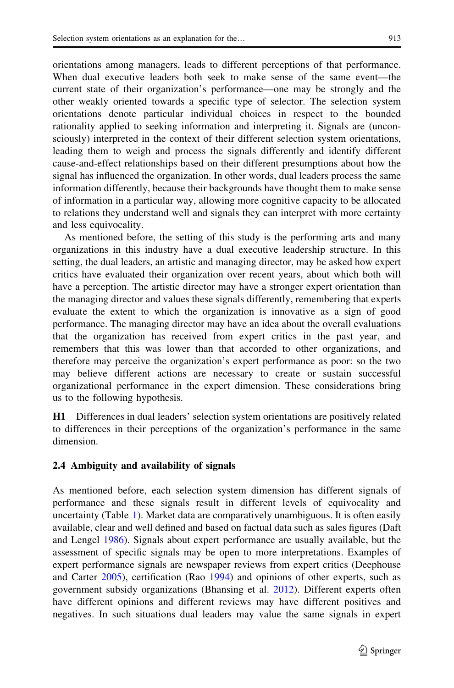orientations among managers, leads to different perceptions of that performance. When dual executive leaders both seek to make sense of the same event—the current state of their organization's performance—one may be strongly and the other weakly oriented towards a specific type of selector. The selection system orientations denote particular individual choices in respect to the bounded rationality applied to seeking information and interpreting it. Signals are (unconsciously) interpreted in the context of their different selection system orientations, leading them to weigh and process the signals differently and identify different cause-and-effect relationships based on their different presumptions about how the signal has influenced the organization. In other words, dual leaders process the same information differently, because their backgrounds have thought them to make sense of information in a particular way, allowing more cognitive capacity to be allocated to relations they understand well and signals they can interpret with more certainty and less equivocality.

As mentioned before, the setting of this study is the performing arts and many organizations in this industry have a dual executive leadership structure. In this setting, the dual leaders, an artistic and managing director, may be asked how expert critics have evaluated their organization over recent years, about which both will have a perception. The artistic director may have a stronger expert orientation than the managing director and values these signals differently, remembering that experts evaluate the extent to which the organization is innovative as a sign of good performance. The managing director may have an idea about the overall evaluations that the organization has received from expert critics in the past year, and remembers that this was lower than that accorded to other organizations, and therefore may perceive the organization's expert performance as poor: so the two may believe different actions are necessary to create or sustain successful organizational performance in the expert dimension. These considerations bring us to the following hypothesis.

H1 Differences in dual leaders' selection system orientations are positively related to differences in their perceptions of the organization's performance in the same dimension.

## 2.4 Ambiguity and availability of signals

As mentioned before, each selection system dimension has different signals of performance and these signals result in different levels of equivocality and uncertainty (Table [1](#page-7-0)). Market data are comparatively unambiguous. It is often easily available, clear and well defined and based on factual data such as sales figures (Daft and Lengel [1986](#page-23-0)). Signals about expert performance are usually available, but the assessment of specific signals may be open to more interpretations. Examples of expert performance signals are newspaper reviews from expert critics (Deephouse and Carter [2005](#page-23-0)), certification (Rao [1994\)](#page-24-0) and opinions of other experts, such as government subsidy organizations (Bhansing et al. [2012\)](#page-23-0). Different experts often have different opinions and different reviews may have different positives and negatives. In such situations dual leaders may value the same signals in expert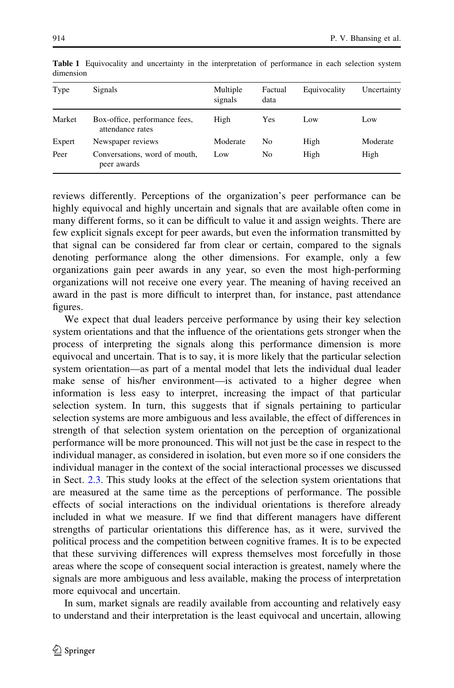| Type   | Signals                                           | Multiple<br>signals | Factual<br>data | Equivocality | Uncertainty |
|--------|---------------------------------------------------|---------------------|-----------------|--------------|-------------|
| Market | Box-office, performance fees,<br>attendance rates | High                | Yes             | Low          | Low         |
| Expert | Newspaper reviews                                 | Moderate            | No              | High         | Moderate    |
| Peer   | Conversations, word of mouth,<br>peer awards      | Low                 | No              | High         | High        |

<span id="page-7-0"></span>Table 1 Equivocality and uncertainty in the interpretation of performance in each selection system dimension

reviews differently. Perceptions of the organization's peer performance can be highly equivocal and highly uncertain and signals that are available often come in many different forms, so it can be difficult to value it and assign weights. There are few explicit signals except for peer awards, but even the information transmitted by that signal can be considered far from clear or certain, compared to the signals denoting performance along the other dimensions. For example, only a few organizations gain peer awards in any year, so even the most high-performing organizations will not receive one every year. The meaning of having received an award in the past is more difficult to interpret than, for instance, past attendance figures.

We expect that dual leaders perceive performance by using their key selection system orientations and that the influence of the orientations gets stronger when the process of interpreting the signals along this performance dimension is more equivocal and uncertain. That is to say, it is more likely that the particular selection system orientation—as part of a mental model that lets the individual dual leader make sense of his/her environment—is activated to a higher degree when information is less easy to interpret, increasing the impact of that particular selection system. In turn, this suggests that if signals pertaining to particular selection systems are more ambiguous and less available, the effect of differences in strength of that selection system orientation on the perception of organizational performance will be more pronounced. This will not just be the case in respect to the individual manager, as considered in isolation, but even more so if one considers the individual manager in the context of the social interactional processes we discussed in Sect. [2.3.](#page-5-0) This study looks at the effect of the selection system orientations that are measured at the same time as the perceptions of performance. The possible effects of social interactions on the individual orientations is therefore already included in what we measure. If we find that different managers have different strengths of particular orientations this difference has, as it were, survived the political process and the competition between cognitive frames. It is to be expected that these surviving differences will express themselves most forcefully in those areas where the scope of consequent social interaction is greatest, namely where the signals are more ambiguous and less available, making the process of interpretation more equivocal and uncertain.

In sum, market signals are readily available from accounting and relatively easy to understand and their interpretation is the least equivocal and uncertain, allowing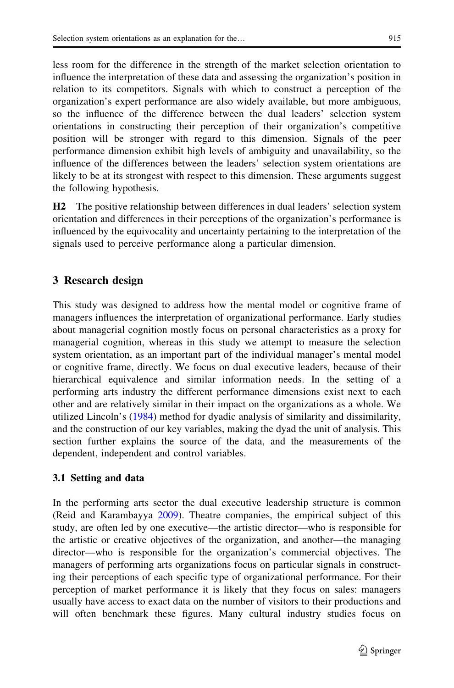less room for the difference in the strength of the market selection orientation to influence the interpretation of these data and assessing the organization's position in relation to its competitors. Signals with which to construct a perception of the organization's expert performance are also widely available, but more ambiguous, so the influence of the difference between the dual leaders' selection system orientations in constructing their perception of their organization's competitive position will be stronger with regard to this dimension. Signals of the peer performance dimension exhibit high levels of ambiguity and unavailability, so the influence of the differences between the leaders' selection system orientations are likely to be at its strongest with respect to this dimension. These arguments suggest the following hypothesis.

H2 The positive relationship between differences in dual leaders' selection system orientation and differences in their perceptions of the organization's performance is influenced by the equivocality and uncertainty pertaining to the interpretation of the signals used to perceive performance along a particular dimension.

## 3 Research design

This study was designed to address how the mental model or cognitive frame of managers influences the interpretation of organizational performance. Early studies about managerial cognition mostly focus on personal characteristics as a proxy for managerial cognition, whereas in this study we attempt to measure the selection system orientation, as an important part of the individual manager's mental model or cognitive frame, directly. We focus on dual executive leaders, because of their hierarchical equivalence and similar information needs. In the setting of a performing arts industry the different performance dimensions exist next to each other and are relatively similar in their impact on the organizations as a whole. We utilized Lincoln's [\(1984](#page-24-0)) method for dyadic analysis of similarity and dissimilarity, and the construction of our key variables, making the dyad the unit of analysis. This section further explains the source of the data, and the measurements of the dependent, independent and control variables.

## 3.1 Setting and data

In the performing arts sector the dual executive leadership structure is common (Reid and Karambayya [2009\)](#page-24-0). Theatre companies, the empirical subject of this study, are often led by one executive—the artistic director—who is responsible for the artistic or creative objectives of the organization, and another—the managing director—who is responsible for the organization's commercial objectives. The managers of performing arts organizations focus on particular signals in constructing their perceptions of each specific type of organizational performance. For their perception of market performance it is likely that they focus on sales: managers usually have access to exact data on the number of visitors to their productions and will often benchmark these figures. Many cultural industry studies focus on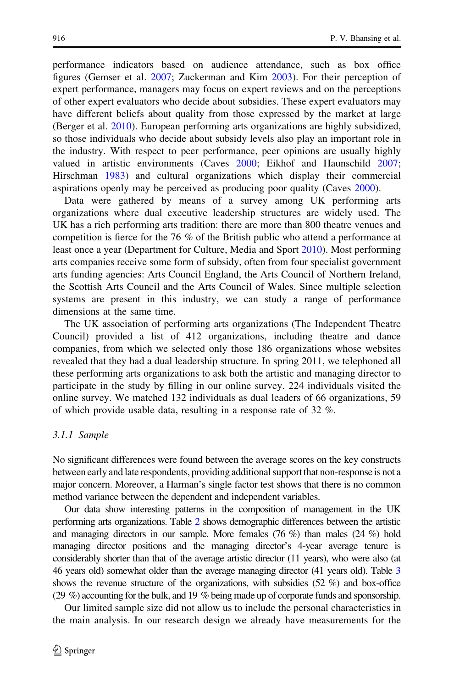performance indicators based on audience attendance, such as box office figures (Gemser et al. [2007](#page-23-0); Zuckerman and Kim [2003](#page-25-0)). For their perception of expert performance, managers may focus on expert reviews and on the perceptions of other expert evaluators who decide about subsidies. These expert evaluators may have different beliefs about quality from those expressed by the market at large (Berger et al. [2010\)](#page-23-0). European performing arts organizations are highly subsidized, so those individuals who decide about subsidy levels also play an important role in the industry. With respect to peer performance, peer opinions are usually highly valued in artistic environments (Caves [2000;](#page-23-0) Eikhof and Haunschild [2007;](#page-23-0) Hirschman [1983](#page-24-0)) and cultural organizations which display their commercial aspirations openly may be perceived as producing poor quality (Caves [2000](#page-23-0)).

Data were gathered by means of a survey among UK performing arts organizations where dual executive leadership structures are widely used. The UK has a rich performing arts tradition: there are more than 800 theatre venues and competition is fierce for the 76 % of the British public who attend a performance at least once a year (Department for Culture, Media and Sport [2010\)](#page-23-0). Most performing arts companies receive some form of subsidy, often from four specialist government arts funding agencies: Arts Council England, the Arts Council of Northern Ireland, the Scottish Arts Council and the Arts Council of Wales. Since multiple selection systems are present in this industry, we can study a range of performance dimensions at the same time.

The UK association of performing arts organizations (The Independent Theatre Council) provided a list of 412 organizations, including theatre and dance companies, from which we selected only those 186 organizations whose websites revealed that they had a dual leadership structure. In spring 2011, we telephoned all these performing arts organizations to ask both the artistic and managing director to participate in the study by filling in our online survey. 224 individuals visited the online survey. We matched 132 individuals as dual leaders of 66 organizations, 59 of which provide usable data, resulting in a response rate of 32 %.

#### 3.1.1 Sample

No significant differences were found between the average scores on the key constructs between early and late respondents, providing additional support that non-response is not a major concern. Moreover, a Harman's single factor test shows that there is no common method variance between the dependent and independent variables.

Our data show interesting patterns in the composition of management in the UK performing arts organizations. Table [2](#page-10-0) shows demographic differences between the artistic and managing directors in our sample. More females  $(76\%)$  than males  $(24\%)$  hold managing director positions and the managing director's 4-year average tenure is considerably shorter than that of the average artistic director (11 years), who were also (at 46 years old) somewhat older than the average managing director (41 years old). Table [3](#page-11-0) shows the revenue structure of the organizations, with subsidies (52 %) and box-office (29 %) accounting for the bulk, and 19 % being made up of corporate funds and sponsorship.

Our limited sample size did not allow us to include the personal characteristics in the main analysis. In our research design we already have measurements for the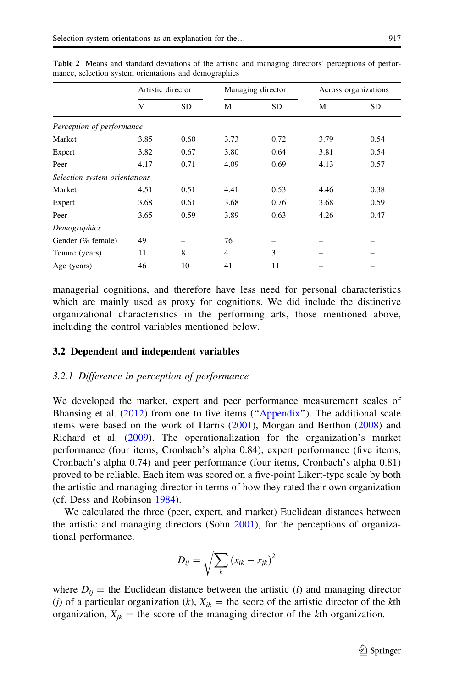|                               | Artistic director |           |                | Managing director |      | Across organizations |
|-------------------------------|-------------------|-----------|----------------|-------------------|------|----------------------|
|                               | М                 | <b>SD</b> | М              | <b>SD</b>         | М    | SD                   |
| Perception of performance     |                   |           |                |                   |      |                      |
| Market                        | 3.85              | 0.60      | 3.73           | 0.72              | 3.79 | 0.54                 |
| Expert                        | 3.82              | 0.67      | 3.80           | 0.64              | 3.81 | 0.54                 |
| Peer                          | 4.17              | 0.71      | 4.09           | 0.69              | 4.13 | 0.57                 |
| Selection system orientations |                   |           |                |                   |      |                      |
| Market                        | 4.51              | 0.51      | 4.41           | 0.53              | 4.46 | 0.38                 |
| Expert                        | 3.68              | 0.61      | 3.68           | 0.76              | 3.68 | 0.59                 |
| Peer                          | 3.65              | 0.59      | 3.89           | 0.63              | 4.26 | 0.47                 |
| Demographics                  |                   |           |                |                   |      |                      |
| Gender (% female)             | 49                |           | 76             |                   |      |                      |
| Tenure (years)                | 11                | 8         | $\overline{4}$ | 3                 |      |                      |
| Age (years)                   | 46                | 10        | 41             | 11                |      |                      |

<span id="page-10-0"></span>Table 2 Means and standard deviations of the artistic and managing directors' perceptions of performance, selection system orientations and demographics

managerial cognitions, and therefore have less need for personal characteristics which are mainly used as proxy for cognitions. We did include the distinctive organizational characteristics in the performing arts, those mentioned above, including the control variables mentioned below.

#### 3.2 Dependent and independent variables

#### 3.2.1 Difference in perception of performance

We developed the market, expert and peer performance measurement scales of Bhansing et al. ([2012\)](#page-23-0) from one to five items ("Appendix"). The additional scale items were based on the work of Harris [\(2001](#page-24-0)), Morgan and Berthon ([2008\)](#page-24-0) and Richard et al. ([2009\)](#page-25-0). The operationalization for the organization's market performance (four items, Cronbach's alpha 0.84), expert performance (five items, Cronbach's alpha 0.74) and peer performance (four items, Cronbach's alpha 0.81) proved to be reliable. Each item was scored on a five-point Likert-type scale by both the artistic and managing director in terms of how they rated their own organization (cf. Dess and Robinson [1984\)](#page-23-0).

We calculated the three (peer, expert, and market) Euclidean distances between the artistic and managing directors (Sohn [2001\)](#page-25-0), for the perceptions of organizational performance.

$$
D_{ij} = \sqrt{\sum_{k} (x_{ik} - x_{jk})^2}
$$

where  $D_{ii}$  = the Euclidean distance between the artistic (*i*) and managing director (j) of a particular organization (k),  $X_{ik}$  = the score of the artistic director of the kth organization,  $X_{jk}$  = the score of the managing director of the kth organization.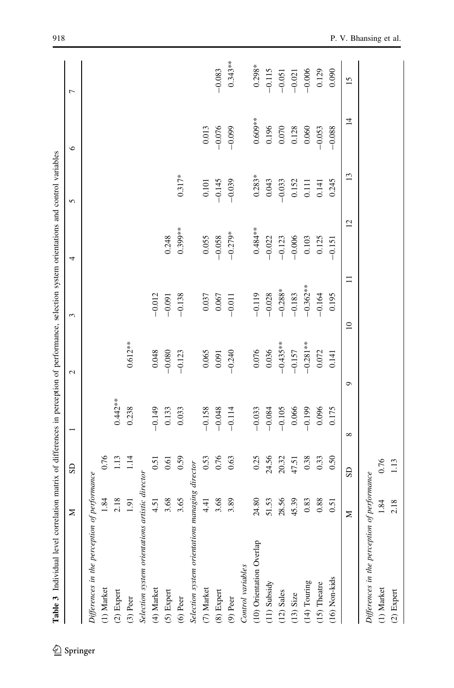<span id="page-11-0"></span>

| Table 3 Individual level correlation matrix of differences in perception of performance, selection system orientations and control variables |                |             |              |             |                             |                |                 |                |           |
|----------------------------------------------------------------------------------------------------------------------------------------------|----------------|-------------|--------------|-------------|-----------------------------|----------------|-----------------|----------------|-----------|
|                                                                                                                                              | Σ              | <b>GS</b>   |              | 2           | 3                           | 4              | 5               | $\circ$        | 7         |
| Differences in the perception                                                                                                                | of performance |             |              |             |                             |                |                 |                |           |
| (1) Market                                                                                                                                   | 1.84           | 0.76        |              |             |                             |                |                 |                |           |
| (2) Expert                                                                                                                                   | 2.18           | 1.13        | $0.442**$    |             |                             |                |                 |                |           |
| $(3)$ Peer                                                                                                                                   | 1.91           | 1.14        | 0.238        | $0.612***$  |                             |                |                 |                |           |
| Selection system orientations artistic director                                                                                              |                |             |              |             |                             |                |                 |                |           |
| (4) Market                                                                                                                                   | 4.51           | 0.51        | $-0.149$     | 0.048       | $-0.012$                    |                |                 |                |           |
| (5) Expert                                                                                                                                   | 3.68           | $0.61\,$    | 0.133        | $-0.080$    | $-0.091$                    | 0.248          |                 |                |           |
| $(6)$ Peer                                                                                                                                   | 3.65           | 0.59        | 0.033        | $-0.123$    | $-0.138$                    | $0.399***$     | $0.317*$        |                |           |
| Selection system orientations managing director                                                                                              |                |             |              |             |                             |                |                 |                |           |
| (7) Market                                                                                                                                   | 4.41           | 0.53        | $-0.158$     | 0.065       | 0.037                       | 0.055          | $0.101\,$       | 0.013          |           |
| (8) Expert                                                                                                                                   | 3.68           | 0.76        | $-0.048$     | 0.091       | $0.067\,$                   | $-0.058$       | $-0.145$        | $-0.076$       | $-0.083$  |
| $(9)$ Peer                                                                                                                                   | 3.89           | 0.63        | $-0.114$     | $-0.240$    | $-0.011$                    | $-0.279*$      | $-0.039$        | $-0.099$       | $0.343**$ |
| Control variables                                                                                                                            |                |             |              |             |                             |                |                 |                |           |
| (10) Orientation Overlap                                                                                                                     | 24.80          | 0.25        | $-0.033$     | 0.076       | $-0.119$                    | $0.484***$     | $0.283*$        | $0.609**$      | $0.298*$  |
| $(11)$ Subsidy                                                                                                                               | 51.53          | 24.56       | $-0.084$     | 0.036       | $-0.028$                    | $-0.022$       | 0.043           | 0.196          | $-0.115$  |
| $(12)$ Sales                                                                                                                                 | 28.56          | 20.32       | $-0.105$     | $-0.435***$ | $-0.288*$                   | $-0.123$       | $-0.033$        | $0.070\,$      | $-0.051$  |
| $(13)$ Size                                                                                                                                  | 45.39          | 47.51       | 0.066        | $-0.157$    | $-0.183$                    | $-0.006$       | 0.152           | 0.128          | $-0.021$  |
| $(14)$ Touring                                                                                                                               | 0.83           | 0.38        | $-0.199$     | $-0.281**$  | $-0.362***$                 | 0.103          | 0.111           | 0.060          | $-0.006$  |
| (15) Theatre                                                                                                                                 | 0.88           | 0.33        | 0.096        | 0.072       | $-0.164$                    | 0.125          | 0.141           | $-0.053$       | 0.129     |
| (16) Non-kids                                                                                                                                | 0.51           | 0.50        | 0.175        | 0.141       | 0.195                       | $-0.151$       | 0.245           | $-0.088$       | 0.090     |
|                                                                                                                                              | Z              | $_{\rm SD}$ | ${}^{\circ}$ | G           | $\equiv$<br>$\overline{10}$ | $\overline{c}$ | $\overline{13}$ | $\overline{1}$ | 15        |
| Differences in the perception of performance                                                                                                 |                |             |              |             |                             |                |                 |                |           |
| (1) Market                                                                                                                                   | 1.84           | 0.76        |              |             |                             |                |                 |                |           |
| (2) Expert                                                                                                                                   | 2.18           | 1.13        |              |             |                             |                |                 |                |           |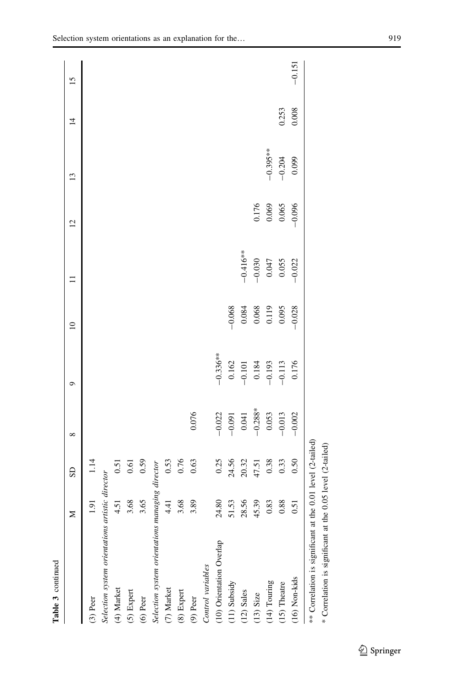Table 3 continued Table 3 continued

|                                                            | Σ     | $\overline{\text{SD}}$ | $\infty$  | Q           | $\overline{10}$ | $\equiv$           | $\overline{c}$ | $\mathbf{r}$ | $\overline{4}$ | 15       |
|------------------------------------------------------------|-------|------------------------|-----------|-------------|-----------------|--------------------|----------------|--------------|----------------|----------|
| (3) Peer                                                   | 1.91  | 1.14                   |           |             |                 |                    |                |              |                |          |
| Selection system orientations artistic director            |       |                        |           |             |                 |                    |                |              |                |          |
| (4) Market                                                 | 4.51  | 0.51                   |           |             |                 |                    |                |              |                |          |
| (5) Expert                                                 | 3.68  | 0.61                   |           |             |                 |                    |                |              |                |          |
| (6) Peer                                                   | 3.65  | 0.59                   |           |             |                 |                    |                |              |                |          |
| Selection system orientations managing director            |       |                        |           |             |                 |                    |                |              |                |          |
| (7) Market                                                 | 4.41  | 0.53                   |           |             |                 |                    |                |              |                |          |
| (8) Expert                                                 | 3.68  | 0.76                   |           |             |                 |                    |                |              |                |          |
| (9) Peer                                                   | 3.89  | 0.63                   | 0.076     |             |                 |                    |                |              |                |          |
| Control variables                                          |       |                        |           |             |                 |                    |                |              |                |          |
| (10) Orientation Overlap                                   | 24.80 | 0.25                   | $-0.022$  | $-0.336***$ |                 |                    |                |              |                |          |
| (11) Subsidy                                               | 51.53 | 24.56                  | $-0.091$  | 0.162       | $-0.068$        |                    |                |              |                |          |
| $(12)$ Sales                                               | 28.56 | 20.32                  | 0.041     | $-0.101$    | 0.084           | $-0.416**$         |                |              |                |          |
| $(13)$ Size                                                | 45.39 | 47.51                  | $-0.288*$ | 0.184       | 0.068           | $-0.030$           | 0.176          |              |                |          |
| 14) Touring                                                | 0.83  | 0.38                   | 0.053     | $-0.193$    | 0.119           | $0.047$<br>$0.055$ | 0.069          | $-0.395**$   |                |          |
| 15) Theatre                                                | 0.88  | 0.33                   | $-0.013$  | $-0.113$    | 0.095           |                    | 0.065          | $-0.204$     | 0.253          |          |
| 16) Non-kids                                               | 0.51  | 0.50                   | $-0.002$  | 0.176       | $-0.028$        | $-0.022$           | $-0.096$       | 0.099        | 0.008          | $-0.151$ |
| ** Correlation is significant at the 0.01 level (2-tailed) |       |                        |           |             |                 |                    |                |              |                |          |
| * Correlation is significant at the 0.05 level (2-tailed)  |       |                        |           |             |                 |                    |                |              |                |          |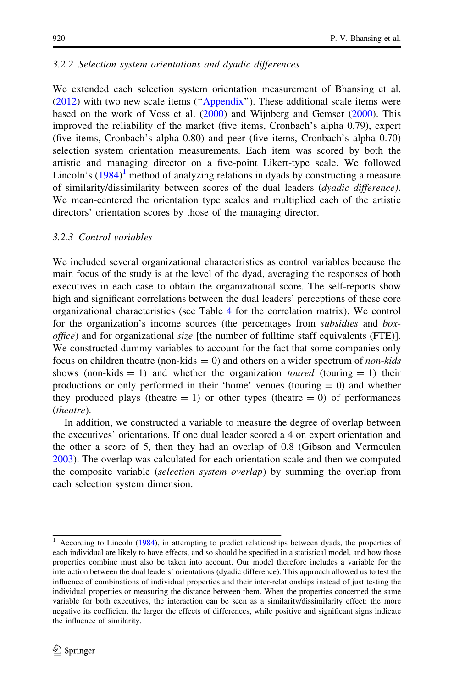## 3.2.2 Selection system orientations and dyadic differences

We extended each selection system orientation measurement of Bhansing et al.  $(2012)$  $(2012)$  with two new scale items ("Appendix"). These additional scale items were based on the work of Voss et al. ([2000\)](#page-25-0) and Wijnberg and Gemser ([2000\)](#page-25-0). This improved the reliability of the market (five items, Cronbach's alpha 0.79), expert (five items, Cronbach's alpha 0.80) and peer (five items, Cronbach's alpha 0.70) selection system orientation measurements. Each item was scored by both the artistic and managing director on a five-point Likert-type scale. We followed Lincoln's  $(1984)^1$  $(1984)^1$  method of analyzing relations in dyads by constructing a measure of similarity/dissimilarity between scores of the dual leaders (dyadic difference). We mean-centered the orientation type scales and multiplied each of the artistic directors' orientation scores by those of the managing director.

## 3.2.3 Control variables

We included several organizational characteristics as control variables because the main focus of the study is at the level of the dyad, averaging the responses of both executives in each case to obtain the organizational score. The self-reports show high and significant correlations between the dual leaders' perceptions of these core organizational characteristics (see Table [4](#page-14-0) for the correlation matrix). We control for the organization's income sources (the percentages from *subsidies* and *box* $of\text{fice})$  and for organizational size [the number of fulltime staff equivalents (FTE)]. We constructed dummy variables to account for the fact that some companies only focus on children theatre (non-kids  $= 0$ ) and others on a wider spectrum of *non-kids* shows (non-kids  $= 1$ ) and whether the organization *toured* (touring  $= 1$ ) their productions or only performed in their 'home' venues (touring  $= 0$ ) and whether they produced plays (theatre  $= 1$ ) or other types (theatre  $= 0$ ) of performances (theatre).

In addition, we constructed a variable to measure the degree of overlap between the executives' orientations. If one dual leader scored a 4 on expert orientation and the other a score of 5, then they had an overlap of 0.8 (Gibson and Vermeulen [2003\)](#page-23-0). The overlap was calculated for each orientation scale and then we computed the composite variable (selection system overlap) by summing the overlap from each selection system dimension.

<sup>1</sup> According to Lincoln ([1984\)](#page-24-0), in attempting to predict relationships between dyads, the properties of each individual are likely to have effects, and so should be specified in a statistical model, and how those properties combine must also be taken into account. Our model therefore includes a variable for the interaction between the dual leaders' orientations (dyadic difference). This approach allowed us to test the influence of combinations of individual properties and their inter-relationships instead of just testing the individual properties or measuring the distance between them. When the properties concerned the same variable for both executives, the interaction can be seen as a similarity/dissimilarity effect: the more negative its coefficient the larger the effects of differences, while positive and significant signs indicate the influence of similarity.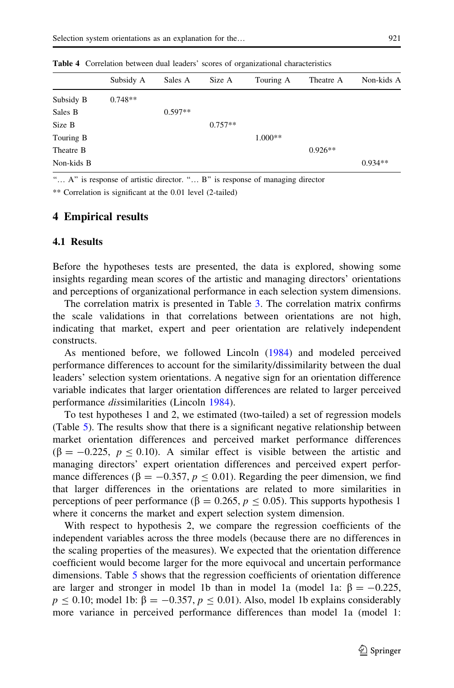|            | Subsidy A | Sales A   | Size A    | Touring A | Theatre A | Non-kids A |
|------------|-----------|-----------|-----------|-----------|-----------|------------|
| Subsidy B  | $0.748**$ |           |           |           |           |            |
| Sales B    |           | $0.597**$ |           |           |           |            |
| Size B     |           |           | $0.757**$ |           |           |            |
| Touring B  |           |           |           | $1.000**$ |           |            |
| Theatre B  |           |           |           |           | $0.926**$ |            |
| Non-kids B |           |           |           |           |           | $0.934**$  |

<span id="page-14-0"></span>Table 4 Correlation between dual leaders' scores of organizational characteristics

"... A" is response of artistic director. "... B" is response of managing director

\*\* Correlation is significant at the 0.01 level (2-tailed)

## 4 Empirical results

#### 4.1 Results

Before the hypotheses tests are presented, the data is explored, showing some insights regarding mean scores of the artistic and managing directors' orientations and perceptions of organizational performance in each selection system dimensions.

The correlation matrix is presented in Table [3](#page-11-0). The correlation matrix confirms the scale validations in that correlations between orientations are not high, indicating that market, expert and peer orientation are relatively independent constructs.

As mentioned before, we followed Lincoln ([1984\)](#page-24-0) and modeled perceived performance differences to account for the similarity/dissimilarity between the dual leaders' selection system orientations. A negative sign for an orientation difference variable indicates that larger orientation differences are related to larger perceived performance dissimilarities (Lincoln [1984](#page-24-0)).

To test hypotheses 1 and 2, we estimated (two-tailed) a set of regression models (Table [5](#page-15-0)). The results show that there is a significant negative relationship between market orientation differences and perceived market performance differences  $(\beta = -0.225, p \le 0.10)$ . A similar effect is visible between the artistic and managing directors' expert orientation differences and perceived expert performance differences ( $\beta = -0.357$ ,  $p \le 0.01$ ). Regarding the peer dimension, we find that larger differences in the orientations are related to more similarities in perceptions of peer performance ( $\beta = 0.265$ ,  $p \le 0.05$ ). This supports hypothesis 1 where it concerns the market and expert selection system dimension.

With respect to hypothesis 2, we compare the regression coefficients of the independent variables across the three models (because there are no differences in the scaling properties of the measures). We expected that the orientation difference coefficient would become larger for the more equivocal and uncertain performance dimensions. Table [5](#page-15-0) shows that the regression coefficients of orientation difference are larger and stronger in model 1b than in model 1a (model 1a:  $\beta = -0.225$ ,  $p \le 0.10$ ; model 1b:  $\beta = -0.357, p \le 0.01$ ). Also, model 1b explains considerably more variance in perceived performance differences than model 1a (model 1: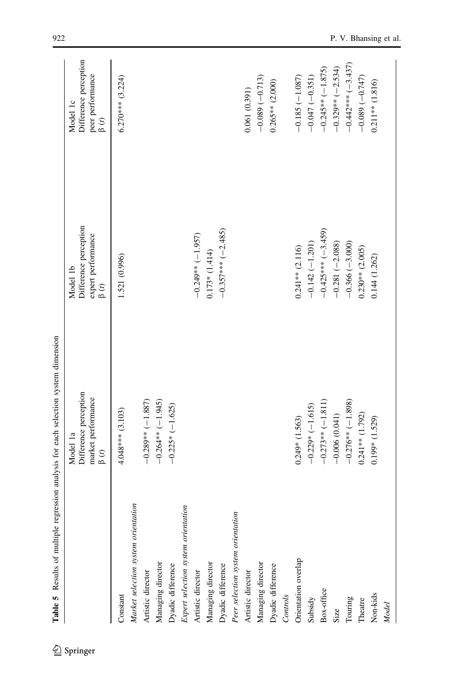<span id="page-15-0"></span>

| <b>Company and the second company</b> | an biyu wann<br>$5 - 2$                                               |                                                                       |                                                                  |
|---------------------------------------|-----------------------------------------------------------------------|-----------------------------------------------------------------------|------------------------------------------------------------------|
|                                       | Difference perception<br>market performance<br>Model la<br>$\beta(t)$ | Difference perception<br>expert performance<br>Model 1b<br>$\beta(t)$ | Difference perception<br>peer performance $\beta(t)$<br>Model 1c |
| Constant                              | 4.048*** (3.103)                                                      | 1.521 (0.996)                                                         | $6.270***$ (3.224)                                               |
| Market selection system orientation   |                                                                       |                                                                       |                                                                  |
| Artistic director                     | $-0.289**(-1.887)$                                                    |                                                                       |                                                                  |
| Managing director                     | $-0.264**(-1.945)$                                                    |                                                                       |                                                                  |
| Dyadic difference                     | $-0.225*(-1.625)$                                                     |                                                                       |                                                                  |
| Expert selection system orientation   |                                                                       |                                                                       |                                                                  |
| Artistic director                     |                                                                       | $-0.249**(-1.957)$                                                    |                                                                  |
| Managing director                     |                                                                       | $0.173 * (1.414)$                                                     |                                                                  |
| Dyadic difference                     |                                                                       | $-0.357***(-2.485)$                                                   |                                                                  |
| Peer selection system orientation     |                                                                       |                                                                       |                                                                  |
| Artistic director                     |                                                                       |                                                                       | 0.061(0.391)                                                     |
| Managing director                     |                                                                       |                                                                       | $-0.089(-0.713)$                                                 |
| Dyadic difference                     |                                                                       |                                                                       | $0.265**$ (2.000)                                                |
| Controls                              |                                                                       |                                                                       |                                                                  |
| Orientation overlap                   | $0.249*$ (1.563)                                                      | $0.241**$ (2.116)                                                     | $-0.185(-1.087)$                                                 |
| Subsidy                               | $-0.229*(-1.615)$                                                     | $-0.142(-1.201)$                                                      | $-0.047$ $(-0.351)$                                              |
| Box-office                            | $-0.273**(-1.811)$                                                    | $-0.425***(-3.459)$                                                   | $-0.245**(-1.875)$                                               |
| Size                                  | $-0.006(0.041)$                                                       | $-0.281(-2.088)$                                                      | $-0.329***(-2.534)$                                              |
| Touring                               | $-0.276**(-1.898)$                                                    | $-0.366(-3.000)$                                                      | $-0.442***(-3.437)$                                              |
| Theatre                               | $0.241**$ (1.792)                                                     | $0.230** (2.005)$                                                     | $-0.089(-0.747)$                                                 |
| Non-kids                              | $0.199*$ $(1.529)$                                                    | 0.144 (1.262)                                                         | $0.211**$ (1.816)                                                |
|                                       |                                                                       |                                                                       |                                                                  |

Table 5 Results of multiple regression analysis for each selection system dimension Table 5 Results of multiple regression analysis for each selection system dimension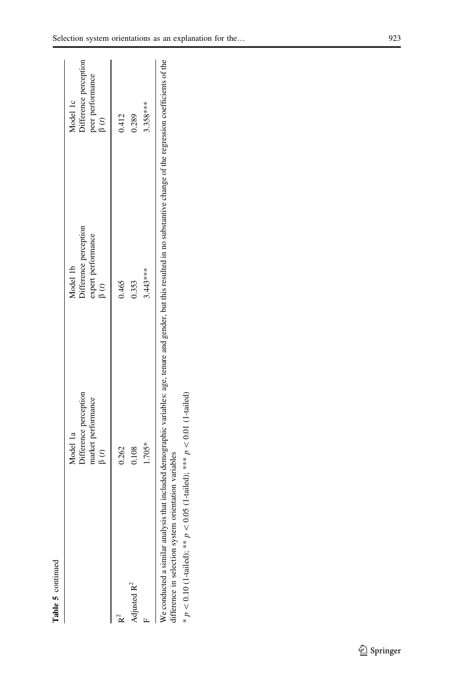| ¢,<br>í<br>t |
|--------------|
| ខេ<br>n      |
| Φ<br>Tab.    |

|             | Difference perception<br>market performance<br>Model la<br>$\frac{1}{2}$ | Difference perception<br>expert performance<br>Model 1b<br>$\beta(t)$                                                                                                                                                          | Difference perception<br>peer performance<br>Model 1c<br>$\beta(t)$ |
|-------------|--------------------------------------------------------------------------|--------------------------------------------------------------------------------------------------------------------------------------------------------------------------------------------------------------------------------|---------------------------------------------------------------------|
|             | 0.262                                                                    | 0.465                                                                                                                                                                                                                          | 0.412                                                               |
| usted $R^2$ | 0.108                                                                    | 0.353                                                                                                                                                                                                                          | 0.289                                                               |
|             | $1.705*$                                                                 | 3.443***                                                                                                                                                                                                                       | 3.358***                                                            |
|             |                                                                          | and the first of the first of the company of the contract of the contract of the contract of the contract of the contract of the contract of the contract of the contract of the contract of the contract of the contract of t |                                                                     |

We conducted a similar analysis that included demographic variables: age, tenure and gender, but this resulted in no substantive change of the regression coefficients of the<br>difference in selection system orientation varia We conducted a similar analysis that included demographic variables: age, tenure and gender, but this resulted in no substantive change of the regression coefficients of the difference in selection system orientation variables

\*  $p < 0.10$  (1-tailed); \*\*  $p < 0.05$  (1-tailed); \*\*\*  $p < 0.01$  (1-tailed) \*  $p < 0.10$  (1-tailed); \*\*  $p < 0.05$  (1-tailed); \*\*\*  $p < 0.01$  (1-tailed)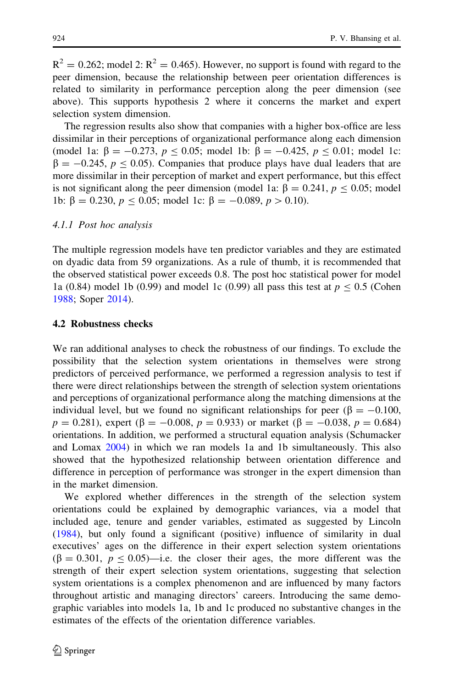$R^{2} = 0.262$ ; model 2:  $R^{2} = 0.465$ ). However, no support is found with regard to the peer dimension, because the relationship between peer orientation differences is related to similarity in performance perception along the peer dimension (see above). This supports hypothesis 2 where it concerns the market and expert selection system dimension.

The regression results also show that companies with a higher box-office are less dissimilar in their perceptions of organizational performance along each dimension (model 1a:  $\beta = -0.273$ ,  $p < 0.05$ ; model 1b:  $\beta = -0.425$ ,  $p < 0.01$ ; model 1c:  $\beta = -0.245$ ,  $p < 0.05$ ). Companies that produce plays have dual leaders that are more dissimilar in their perception of market and expert performance, but this effect is not significant along the peer dimension (model 1a:  $\beta = 0.241$ ,  $p < 0.05$ ; model 1b:  $\beta = 0.230, p \le 0.05$ ; model 1c:  $\beta = -0.089, p > 0.10$ .

#### 4.1.1 Post hoc analysis

The multiple regression models have ten predictor variables and they are estimated on dyadic data from 59 organizations. As a rule of thumb, it is recommended that the observed statistical power exceeds 0.8. The post hoc statistical power for model 1a (0.84) model 1b (0.99) and model 1c (0.99) all pass this test at  $p \le 0.5$  (Cohen [1988;](#page-23-0) Soper [2014\)](#page-25-0).

#### 4.2 Robustness checks

We ran additional analyses to check the robustness of our findings. To exclude the possibility that the selection system orientations in themselves were strong predictors of perceived performance, we performed a regression analysis to test if there were direct relationships between the strength of selection system orientations and perceptions of organizational performance along the matching dimensions at the individual level, but we found no significant relationships for peer ( $\beta = -0.100$ ,  $p = 0.281$ , expert ( $\beta = -0.008$ ,  $p = 0.933$ ) or market ( $\beta = -0.038$ ,  $p = 0.684$ ) orientations. In addition, we performed a structural equation analysis (Schumacker and Lomax [2004](#page-25-0)) in which we ran models 1a and 1b simultaneously. This also showed that the hypothesized relationship between orientation difference and difference in perception of performance was stronger in the expert dimension than in the market dimension.

We explored whether differences in the strength of the selection system orientations could be explained by demographic variances, via a model that included age, tenure and gender variables, estimated as suggested by Lincoln [\(1984](#page-24-0)), but only found a significant (positive) influence of similarity in dual executives' ages on the difference in their expert selection system orientations  $(\beta = 0.301, p \le 0.05)$ —i.e. the closer their ages, the more different was the strength of their expert selection system orientations, suggesting that selection system orientations is a complex phenomenon and are influenced by many factors throughout artistic and managing directors' careers. Introducing the same demographic variables into models 1a, 1b and 1c produced no substantive changes in the estimates of the effects of the orientation difference variables.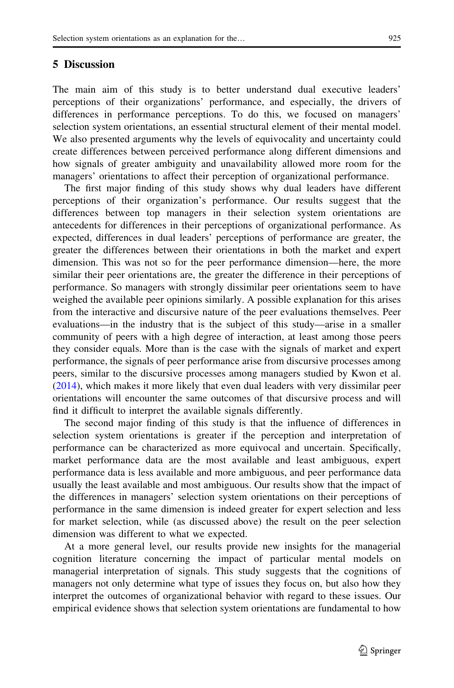## 5 Discussion

The main aim of this study is to better understand dual executive leaders' perceptions of their organizations' performance, and especially, the drivers of differences in performance perceptions. To do this, we focused on managers' selection system orientations, an essential structural element of their mental model. We also presented arguments why the levels of equivocality and uncertainty could create differences between perceived performance along different dimensions and how signals of greater ambiguity and unavailability allowed more room for the managers' orientations to affect their perception of organizational performance.

The first major finding of this study shows why dual leaders have different perceptions of their organization's performance. Our results suggest that the differences between top managers in their selection system orientations are antecedents for differences in their perceptions of organizational performance. As expected, differences in dual leaders' perceptions of performance are greater, the greater the differences between their orientations in both the market and expert dimension. This was not so for the peer performance dimension—here, the more similar their peer orientations are, the greater the difference in their perceptions of performance. So managers with strongly dissimilar peer orientations seem to have weighed the available peer opinions similarly. A possible explanation for this arises from the interactive and discursive nature of the peer evaluations themselves. Peer evaluations—in the industry that is the subject of this study—arise in a smaller community of peers with a high degree of interaction, at least among those peers they consider equals. More than is the case with the signals of market and expert performance, the signals of peer performance arise from discursive processes among peers, similar to the discursive processes among managers studied by Kwon et al. [\(2014](#page-24-0)), which makes it more likely that even dual leaders with very dissimilar peer orientations will encounter the same outcomes of that discursive process and will find it difficult to interpret the available signals differently.

The second major finding of this study is that the influence of differences in selection system orientations is greater if the perception and interpretation of performance can be characterized as more equivocal and uncertain. Specifically, market performance data are the most available and least ambiguous, expert performance data is less available and more ambiguous, and peer performance data usually the least available and most ambiguous. Our results show that the impact of the differences in managers' selection system orientations on their perceptions of performance in the same dimension is indeed greater for expert selection and less for market selection, while (as discussed above) the result on the peer selection dimension was different to what we expected.

At a more general level, our results provide new insights for the managerial cognition literature concerning the impact of particular mental models on managerial interpretation of signals. This study suggests that the cognitions of managers not only determine what type of issues they focus on, but also how they interpret the outcomes of organizational behavior with regard to these issues. Our empirical evidence shows that selection system orientations are fundamental to how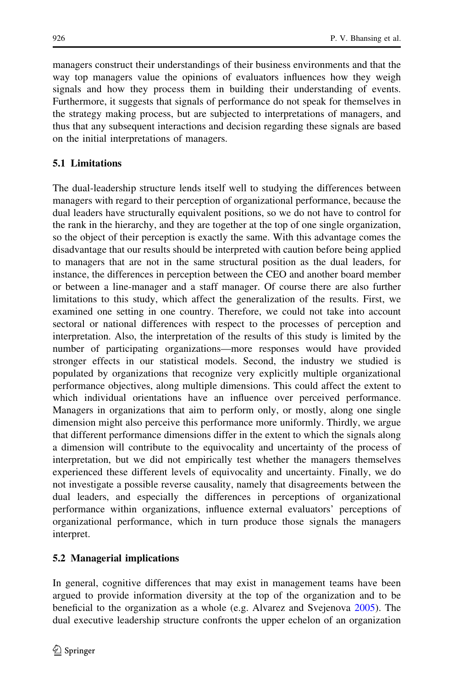managers construct their understandings of their business environments and that the way top managers value the opinions of evaluators influences how they weigh signals and how they process them in building their understanding of events. Furthermore, it suggests that signals of performance do not speak for themselves in the strategy making process, but are subjected to interpretations of managers, and thus that any subsequent interactions and decision regarding these signals are based on the initial interpretations of managers.

## 5.1 Limitations

The dual-leadership structure lends itself well to studying the differences between managers with regard to their perception of organizational performance, because the dual leaders have structurally equivalent positions, so we do not have to control for the rank in the hierarchy, and they are together at the top of one single organization, so the object of their perception is exactly the same. With this advantage comes the disadvantage that our results should be interpreted with caution before being applied to managers that are not in the same structural position as the dual leaders, for instance, the differences in perception between the CEO and another board member or between a line-manager and a staff manager. Of course there are also further limitations to this study, which affect the generalization of the results. First, we examined one setting in one country. Therefore, we could not take into account sectoral or national differences with respect to the processes of perception and interpretation. Also, the interpretation of the results of this study is limited by the number of participating organizations—more responses would have provided stronger effects in our statistical models. Second, the industry we studied is populated by organizations that recognize very explicitly multiple organizational performance objectives, along multiple dimensions. This could affect the extent to which individual orientations have an influence over perceived performance. Managers in organizations that aim to perform only, or mostly, along one single dimension might also perceive this performance more uniformly. Thirdly, we argue that different performance dimensions differ in the extent to which the signals along a dimension will contribute to the equivocality and uncertainty of the process of interpretation, but we did not empirically test whether the managers themselves experienced these different levels of equivocality and uncertainty. Finally, we do not investigate a possible reverse causality, namely that disagreements between the dual leaders, and especially the differences in perceptions of organizational performance within organizations, influence external evaluators' perceptions of organizational performance, which in turn produce those signals the managers interpret.

## 5.2 Managerial implications

In general, cognitive differences that may exist in management teams have been argued to provide information diversity at the top of the organization and to be beneficial to the organization as a whole (e.g. Alvarez and Svejenova [2005](#page-22-0)). The dual executive leadership structure confronts the upper echelon of an organization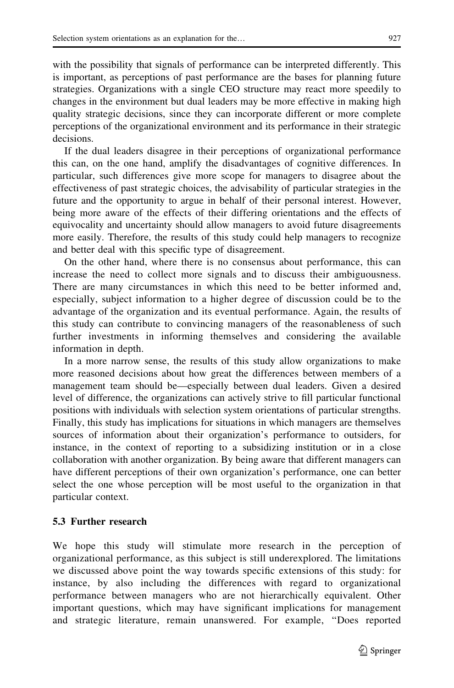with the possibility that signals of performance can be interpreted differently. This is important, as perceptions of past performance are the bases for planning future strategies. Organizations with a single CEO structure may react more speedily to changes in the environment but dual leaders may be more effective in making high quality strategic decisions, since they can incorporate different or more complete perceptions of the organizational environment and its performance in their strategic decisions.

If the dual leaders disagree in their perceptions of organizational performance this can, on the one hand, amplify the disadvantages of cognitive differences. In particular, such differences give more scope for managers to disagree about the effectiveness of past strategic choices, the advisability of particular strategies in the future and the opportunity to argue in behalf of their personal interest. However, being more aware of the effects of their differing orientations and the effects of equivocality and uncertainty should allow managers to avoid future disagreements more easily. Therefore, the results of this study could help managers to recognize and better deal with this specific type of disagreement.

On the other hand, where there is no consensus about performance, this can increase the need to collect more signals and to discuss their ambiguousness. There are many circumstances in which this need to be better informed and, especially, subject information to a higher degree of discussion could be to the advantage of the organization and its eventual performance. Again, the results of this study can contribute to convincing managers of the reasonableness of such further investments in informing themselves and considering the available information in depth.

In a more narrow sense, the results of this study allow organizations to make more reasoned decisions about how great the differences between members of a management team should be—especially between dual leaders. Given a desired level of difference, the organizations can actively strive to fill particular functional positions with individuals with selection system orientations of particular strengths. Finally, this study has implications for situations in which managers are themselves sources of information about their organization's performance to outsiders, for instance, in the context of reporting to a subsidizing institution or in a close collaboration with another organization. By being aware that different managers can have different perceptions of their own organization's performance, one can better select the one whose perception will be most useful to the organization in that particular context.

#### 5.3 Further research

We hope this study will stimulate more research in the perception of organizational performance, as this subject is still underexplored. The limitations we discussed above point the way towards specific extensions of this study: for instance, by also including the differences with regard to organizational performance between managers who are not hierarchically equivalent. Other important questions, which may have significant implications for management and strategic literature, remain unanswered. For example, ''Does reported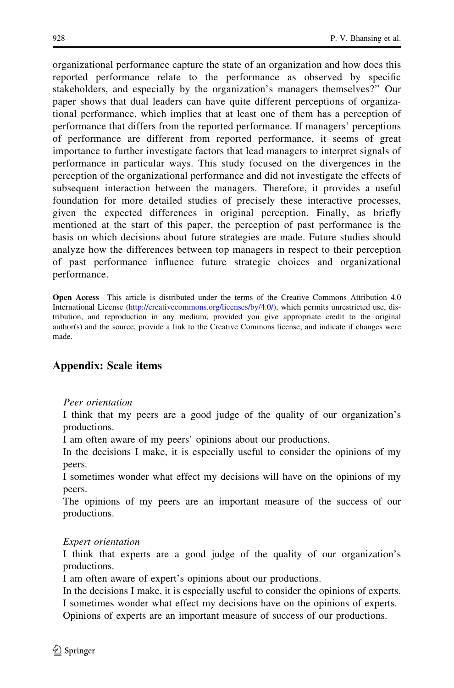<span id="page-21-0"></span>organizational performance capture the state of an organization and how does this reported performance relate to the performance as observed by specific stakeholders, and especially by the organization's managers themselves?'' Our paper shows that dual leaders can have quite different perceptions of organizational performance, which implies that at least one of them has a perception of performance that differs from the reported performance. If managers' perceptions of performance are different from reported performance, it seems of great importance to further investigate factors that lead managers to interpret signals of performance in particular ways. This study focused on the divergences in the perception of the organizational performance and did not investigate the effects of subsequent interaction between the managers. Therefore, it provides a useful foundation for more detailed studies of precisely these interactive processes, given the expected differences in original perception. Finally, as briefly mentioned at the start of this paper, the perception of past performance is the basis on which decisions about future strategies are made. Future studies should analyze how the differences between top managers in respect to their perception of past performance influence future strategic choices and organizational performance.

Open Access This article is distributed under the terms of the Creative Commons Attribution 4.0 International License ([http://creativecommons.org/licenses/by/4.0/\)](http://creativecommons.org/licenses/by/4.0/), which permits unrestricted use, distribution, and reproduction in any medium, provided you give appropriate credit to the original author(s) and the source, provide a link to the Creative Commons license, and indicate if changes were made.

## Appendix: Scale items

#### Peer orientation

I think that my peers are a good judge of the quality of our organization's productions.

I am often aware of my peers' opinions about our productions.

In the decisions I make, it is especially useful to consider the opinions of my peers.

I sometimes wonder what effect my decisions will have on the opinions of my peers.

The opinions of my peers are an important measure of the success of our productions.

## Expert orientation

I think that experts are a good judge of the quality of our organization's productions.

I am often aware of expert's opinions about our productions.

In the decisions I make, it is especially useful to consider the opinions of experts. I sometimes wonder what effect my decisions have on the opinions of experts. Opinions of experts are an important measure of success of our productions.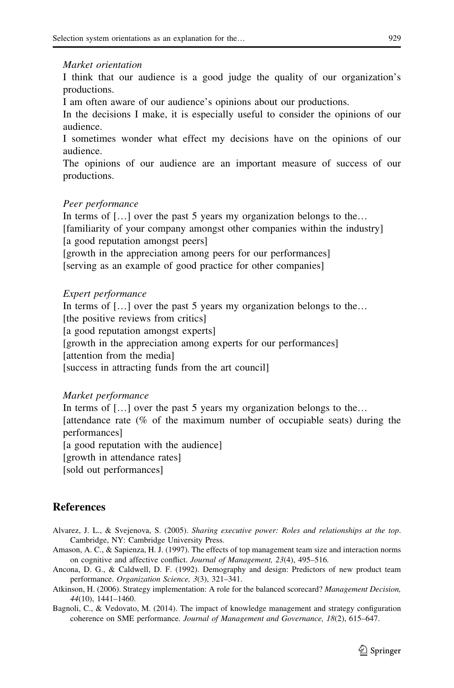<span id="page-22-0"></span>I think that our audience is a good judge the quality of our organization's productions.

I am often aware of our audience's opinions about our productions.

In the decisions I make, it is especially useful to consider the opinions of our audience.

I sometimes wonder what effect my decisions have on the opinions of our audience.

The opinions of our audience are an important measure of success of our productions.

## Peer performance

In terms of [...] over the past 5 years my organization belongs to the... [familiarity of your company amongst other companies within the industry] [a good reputation amongst peers]

[growth in the appreciation among peers for our performances] [serving as an example of good practice for other companies]

#### Expert performance

In terms of [...] over the past 5 years my organization belongs to the... [the positive reviews from critics] [a good reputation amongst experts] [growth in the appreciation among experts for our performances] [attention from the media] [success in attracting funds from the art council]

#### Market performance

In terms of [...] over the past 5 years my organization belongs to the... [attendance rate (% of the maximum number of occupiable seats) during the performances] [a good reputation with the audience] [growth in attendance rates] [sold out performances]

## **References**

- Alvarez, J. L., & Svejenova, S. (2005). Sharing executive power: Roles and relationships at the top. Cambridge, NY: Cambridge University Press.
- Amason, A. C., & Sapienza, H. J. (1997). The effects of top management team size and interaction norms on cognitive and affective conflict. Journal of Management, 23(4), 495–516.
- Ancona, D. G., & Caldwell, D. F. (1992). Demography and design: Predictors of new product team performance. Organization Science, 3(3), 321–341.
- Atkinson, H. (2006). Strategy implementation: A role for the balanced scorecard? Management Decision, 44(10), 1441–1460.
- Bagnoli, C., & Vedovato, M. (2014). The impact of knowledge management and strategy configuration coherence on SME performance. Journal of Management and Governance, 18(2), 615–647.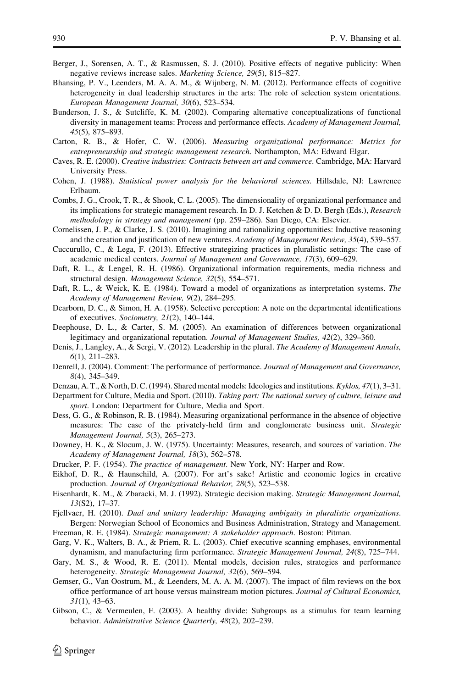- <span id="page-23-0"></span>Berger, J., Sorensen, A. T., & Rasmussen, S. J. (2010). Positive effects of negative publicity: When negative reviews increase sales. Marketing Science, 29(5), 815–827.
- Bhansing, P. V., Leenders, M. A. A. M., & Wijnberg, N. M. (2012). Performance effects of cognitive heterogeneity in dual leadership structures in the arts: The role of selection system orientations. European Management Journal, 30(6), 523–534.
- Bunderson, J. S., & Sutcliffe, K. M. (2002). Comparing alternative conceptualizations of functional diversity in management teams: Process and performance effects. Academy of Management Journal, 45(5), 875–893.
- Carton, R. B., & Hofer, C. W. (2006). Measuring organizational performance: Metrics for entrepreneurship and strategic management research. Northampton, MA: Edward Elgar.
- Caves, R. E. (2000). Creative industries: Contracts between art and commerce. Cambridge, MA: Harvard University Press.
- Cohen, J. (1988). Statistical power analysis for the behavioral sciences. Hillsdale, NJ: Lawrence Erlbaum.
- Combs, J. G., Crook, T. R., & Shook, C. L. (2005). The dimensionality of organizational performance and its implications for strategic management research. In D. J. Ketchen & D. D. Bergh (Eds.), Research methodology in strategy and management (pp. 259–286). San Diego, CA: Elsevier.
- Cornelissen, J. P., & Clarke, J. S. (2010). Imagining and rationalizing opportunities: Inductive reasoning and the creation and justification of new ventures. Academy of Management Review, 35(4), 539–557.
- Cuccurullo, C., & Lega, F. (2013). Effective strategizing practices in pluralistic settings: The case of academic medical centers. Journal of Management and Governance, 17(3), 609–629.
- Daft, R. L., & Lengel, R. H. (1986). Organizational information requirements, media richness and structural design. Management Science, 32(5), 554–571.
- Daft, R. L., & Weick, K. E. (1984). Toward a model of organizations as interpretation systems. The Academy of Management Review, 9(2), 284–295.
- Dearborn, D. C., & Simon, H. A. (1958). Selective perception: A note on the departmental identifications of executives. Sociometry, 21(2), 140–144.
- Deephouse, D. L., & Carter, S. M. (2005). An examination of differences between organizational legitimacy and organizational reputation. Journal of Management Studies, 42(2), 329–360.
- Denis, J., Langley, A., & Sergi, V. (2012). Leadership in the plural. The Academy of Management Annals, 6(1), 211–283.
- Denrell, J. (2004). Comment: The performance of performance. Journal of Management and Governance, 8(4), 345–349.
- Denzau, A. T., & North, D. C. (1994). Shared mental models: Ideologies and institutions. Kyklos, 47(1), 3-31.
- Department for Culture, Media and Sport. (2010). Taking part: The national survey of culture, leisure and sport. London: Department for Culture, Media and Sport.
- Dess, G. G., & Robinson, R. B. (1984). Measuring organizational performance in the absence of objective measures: The case of the privately-held firm and conglomerate business unit. Strategic Management Journal, 5(3), 265–273.
- Downey, H. K., & Slocum, J. W. (1975). Uncertainty: Measures, research, and sources of variation. The Academy of Management Journal, 18(3), 562–578.
- Drucker, P. F. (1954). The practice of management. New York, NY: Harper and Row.
- Eikhof, D. R., & Haunschild, A. (2007). For art's sake! Artistic and economic logics in creative production. Journal of Organizational Behavior, 28(5), 523–538.
- Eisenhardt, K. M., & Zbaracki, M. J. (1992). Strategic decision making. Strategic Management Journal, 13(S2), 17–37.
- Fjellvaer, H. (2010). Dual and unitary leadership: Managing ambiguity in pluralistic organizations. Bergen: Norwegian School of Economics and Business Administration, Strategy and Management.
- Freeman, R. E. (1984). Strategic management: A stakeholder approach. Boston: Pitman.
- Garg, V. K., Walters, B. A., & Priem, R. L. (2003). Chief executive scanning emphases, environmental dynamism, and manufacturing firm performance. Strategic Management Journal, 24(8), 725–744.
- Gary, M. S., & Wood, R. E. (2011). Mental models, decision rules, strategies and performance heterogeneity. Strategic Management Journal, 32(6), 569–594.
- Gemser, G., Van Oostrum, M., & Leenders, M. A. A. M. (2007). The impact of film reviews on the box office performance of art house versus mainstream motion pictures. Journal of Cultural Economics,  $31(1)$ , 43–63.
- Gibson, C., & Vermeulen, F. (2003). A healthy divide: Subgroups as a stimulus for team learning behavior. Administrative Science Quarterly, 48(2), 202–239.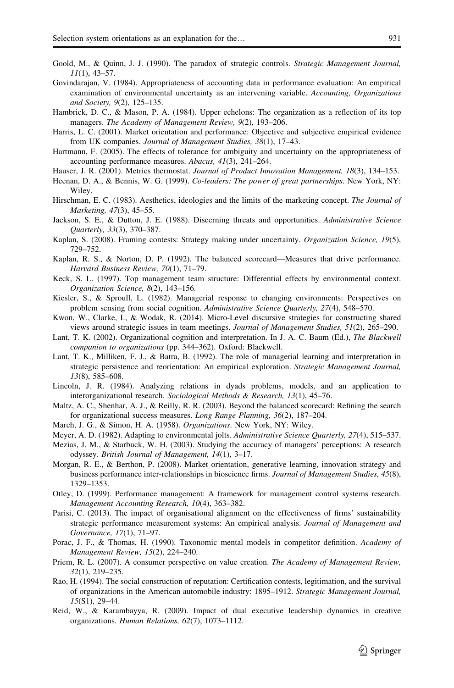- <span id="page-24-0"></span>Goold, M., & Quinn, J. J. (1990). The paradox of strategic controls. Strategic Management Journal, 11(1), 43–57.
- Govindarajan, V. (1984). Appropriateness of accounting data in performance evaluation: An empirical examination of environmental uncertainty as an intervening variable. Accounting, Organizations and Society, 9(2), 125–135.
- Hambrick, D. C., & Mason, P. A. (1984). Upper echelons: The organization as a reflection of its top managers. The Academy of Management Review, 9(2), 193–206.
- Harris, L. C. (2001). Market orientation and performance: Objective and subjective empirical evidence from UK companies. Journal of Management Studies, 38(1), 17–43.
- Hartmann, F. (2005). The effects of tolerance for ambiguity and uncertainty on the appropriateness of accounting performance measures. Abacus, 41(3), 241–264.
- Hauser, J. R. (2001). Metrics thermostat. Journal of Product Innovation Management, 18(3), 134–153.
- Heenan, D. A., & Bennis, W. G. (1999). Co-leaders: The power of great partnerships. New York, NY: Wiley.
- Hirschman, E. C. (1983). Aesthetics, ideologies and the limits of the marketing concept. The Journal of Marketing, 47(3), 45–55.
- Jackson, S. E., & Dutton, J. E. (1988). Discerning threats and opportunities. Administrative Science Quarterly, 33(3), 370–387.
- Kaplan, S. (2008). Framing contests: Strategy making under uncertainty. *Organization Science*, 19(5), 729–752.
- Kaplan, R. S., & Norton, D. P. (1992). The balanced scorecard—Measures that drive performance. Harvard Business Review, 70(1), 71–79.
- Keck, S. L. (1997). Top management team structure: Differential effects by environmental context. Organization Science, 8(2), 143–156.
- Kiesler, S., & Sproull, L. (1982). Managerial response to changing environments: Perspectives on problem sensing from social cognition. Administrative Science Quarterly, 27(4), 548–570.
- Kwon, W., Clarke, I., & Wodak, R. (2014). Micro-Level discursive strategies for constructing shared views around strategic issues in team meetings. Journal of Management Studies, 51(2), 265–290.
- Lant, T. K. (2002). Organizational cognition and interpretation. In J. A. C. Baum (Ed.), The Blackwell companion to organizations (pp. 344–362). Oxford: Blackwell.
- Lant, T. K., Milliken, F. J., & Batra, B. (1992). The role of managerial learning and interpretation in strategic persistence and reorientation: An empirical exploration. Strategic Management Journal, 13(8), 585–608.
- Lincoln, J. R. (1984). Analyzing relations in dyads problems, models, and an application to interorganizational research. Sociological Methods & Research, 13(1), 45–76.
- Maltz, A. C., Shenhar, A. J., & Reilly, R. R. (2003). Beyond the balanced scorecard: Refining the search for organizational success measures. Long Range Planning, 36(2), 187–204.
- March, J. G., & Simon, H. A. (1958). Organizations. New York, NY: Wiley.
- Meyer, A. D. (1982). Adapting to environmental jolts. Administrative Science Quarterly, 27(4), 515–537.
- Mezias, J. M., & Starbuck, W. H. (2003). Studying the accuracy of managers' perceptions: A research odyssey. British Journal of Management, 14(1), 3–17.
- Morgan, R. E., & Berthon, P. (2008). Market orientation, generative learning, innovation strategy and business performance inter-relationships in bioscience firms. Journal of Management Studies, 45(8), 1329–1353.
- Otley, D. (1999). Performance management: A framework for management control systems research. Management Accounting Research, 10(4), 363–382.
- Parisi, C. (2013). The impact of organisational alignment on the effectiveness of firms' sustainability strategic performance measurement systems: An empirical analysis. Journal of Management and Governance, 17(1), 71–97.
- Porac, J. F., & Thomas, H. (1990). Taxonomic mental models in competitor definition. Academy of Management Review, 15(2), 224–240.
- Priem, R. L. (2007). A consumer perspective on value creation. The Academy of Management Review, 32(1), 219–235.
- Rao, H. (1994). The social construction of reputation: Certification contests, legitimation, and the survival of organizations in the American automobile industry: 1895–1912. Strategic Management Journal, 15(S1), 29–44.
- Reid, W., & Karambayya, R. (2009). Impact of dual executive leadership dynamics in creative organizations. Human Relations, 62(7), 1073–1112.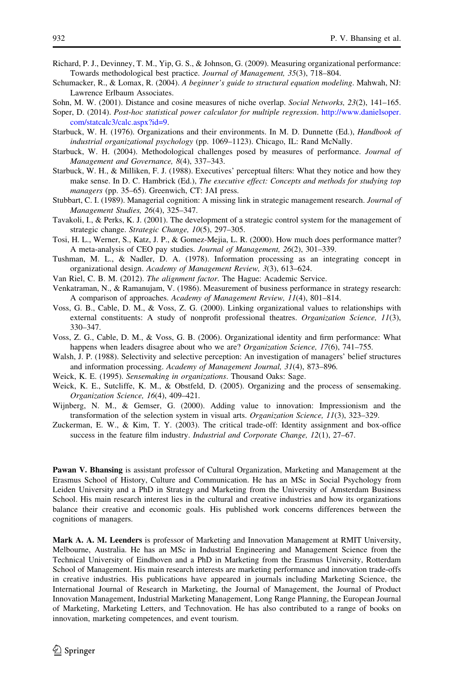- <span id="page-25-0"></span>Richard, P. J., Devinney, T. M., Yip, G. S., & Johnson, G. (2009). Measuring organizational performance: Towards methodological best practice. Journal of Management, 35(3), 718–804.
- Schumacker, R., & Lomax, R. (2004). A beginner's guide to structural equation modeling. Mahwah, NJ: Lawrence Erlbaum Associates.
- Sohn, M. W. (2001). Distance and cosine measures of niche overlap. Social Networks, 23(2), 141–165.
- Soper, D. (2014). Post-hoc statistical power calculator for multiple regression. [http://www.danielsoper.](http://www.danielsoper.com/statcalc3/calc.aspx?id=9) [com/statcalc3/calc.aspx?id=9.](http://www.danielsoper.com/statcalc3/calc.aspx?id=9)
- Starbuck, W. H. (1976). Organizations and their environments. In M. D. Dunnette (Ed.), *Handbook of* industrial organizational psychology (pp. 1069–1123). Chicago, IL: Rand McNally.
- Starbuck, W. H. (2004). Methodological challenges posed by measures of performance. Journal of Management and Governance, 8(4), 337–343.
- Starbuck, W. H., & Milliken, F. J. (1988). Executives' perceptual filters: What they notice and how they make sense. In D. C. Hambrick (Ed.), The executive effect: Concepts and methods for studying top managers (pp. 35–65). Greenwich, CT: JAI press.
- Stubbart, C. I. (1989). Managerial cognition: A missing link in strategic management research. Journal of Management Studies, 26(4), 325–347.
- Tavakoli, I., & Perks, K. J. (2001). The development of a strategic control system for the management of strategic change. Strategic Change, 10(5), 297–305.
- Tosi, H. L., Werner, S., Katz, J. P., & Gomez-Mejia, L. R. (2000). How much does performance matter? A meta-analysis of CEO pay studies. Journal of Management, 26(2), 301–339.
- Tushman, M. L., & Nadler, D. A. (1978). Information processing as an integrating concept in organizational design. Academy of Management Review, 3(3), 613–624.
- Van Riel, C. B. M. (2012). The alignment factor. The Hague: Academic Service.
- Venkatraman, N., & Ramanujam, V. (1986). Measurement of business performance in strategy research: A comparison of approaches. Academy of Management Review, 11(4), 801–814.
- Voss, G. B., Cable, D. M., & Voss, Z. G. (2000). Linking organizational values to relationships with external constituents: A study of nonprofit professional theatres. Organization Science, 11(3), 330–347.
- Voss, Z. G., Cable, D. M., & Voss, G. B. (2006). Organizational identity and firm performance: What happens when leaders disagree about who we are? Organization Science, 17(6), 741-755.
- Walsh, J. P. (1988). Selectivity and selective perception: An investigation of managers' belief structures and information processing. Academy of Management Journal, 31(4), 873–896.
- Weick, K. E. (1995). Sensemaking in organizations. Thousand Oaks: Sage.
- Weick, K. E., Sutcliffe, K. M., & Obstfeld, D. (2005). Organizing and the process of sensemaking. Organization Science, 16(4), 409–421.
- Wijnberg, N. M., & Gemser, G. (2000). Adding value to innovation: Impressionism and the transformation of the selection system in visual arts. Organization Science, 11(3), 323–329.
- Zuckerman, E. W., & Kim, T. Y. (2003). The critical trade-off: Identity assignment and box-office success in the feature film industry. Industrial and Corporate Change, 12(1), 27–67.

Pawan V. Bhansing is assistant professor of Cultural Organization, Marketing and Management at the Erasmus School of History, Culture and Communication. He has an MSc in Social Psychology from Leiden University and a PhD in Strategy and Marketing from the University of Amsterdam Business School. His main research interest lies in the cultural and creative industries and how its organizations balance their creative and economic goals. His published work concerns differences between the cognitions of managers.

Mark A. A. M. Leenders is professor of Marketing and Innovation Management at RMIT University, Melbourne, Australia. He has an MSc in Industrial Engineering and Management Science from the Technical University of Eindhoven and a PhD in Marketing from the Erasmus University, Rotterdam School of Management. His main research interests are marketing performance and innovation trade-offs in creative industries. His publications have appeared in journals including Marketing Science, the International Journal of Research in Marketing, the Journal of Management, the Journal of Product Innovation Management, Industrial Marketing Management, Long Range Planning, the European Journal of Marketing, Marketing Letters, and Technovation. He has also contributed to a range of books on innovation, marketing competences, and event tourism.